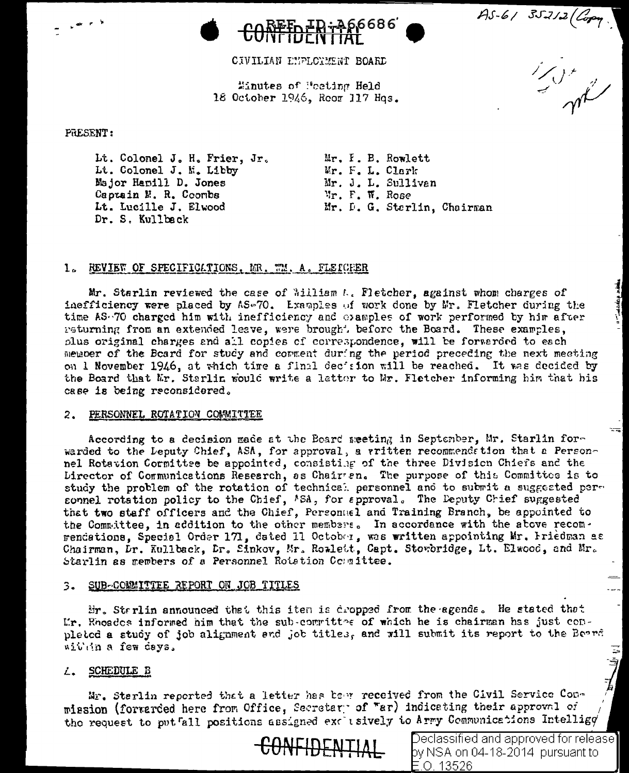

CIVILIAN ENPLOYMENT BOARD

Minutes of Posting Held 18 October 1946, Roor 117 Hqs.

PRESENT:

Lt. Colonel J. H. Frier, Jr. Lt. Colonel J. M. Libby Major Hamill D. Jones Captain N. R. Coonbs Lt. Lucille J. Elwood Dr. S. Kullback

Mr. I. B. Rowlett Mr. F. L. Clark Mr. J. L. Sullivan Mr. F. W. Rose Mr. D. G. Sterlin, Chairman

## 1. REVIEW OF SPECIFICATIONS. MR. WM. A. FLEICHER

Mr. Starlin reviewed the case of *Milliam L. Fletcher*, against whom charges of inefficiency were placed by AS-70. Examples of work done by Mr. Fletcher during the time AS-70 charged him with inefficiency and clamples of work performed by him after returning from an extended leave, were brought before the Board. These examples, plus original charges and all copies of correspondence, will be forwarded to each member of the Beard for study and comment during the period preceding the next meeting on 1 November 1946, at which time a final decision will be reached. It was decided by the Board that Mr. Starlin would write a latter to Mr. Fletcher informing him that his case is being reconsidered.

## PERSONNEL ROTATION COMMITTEE  $\mathbf{2}$ .

According to a decision made at the Board meeting in September, Mr. Starlin forwarded to the Leputy Chief, ASA, for approval, a vritten recommends tion that a Personnel Rotation Cormittee be appointed, consisting of the three Division Chiefs and the Lirector of Communications Research, as Chairen. The purpose of this Committee is to study the problem of the rotation of technical personnel and to submit a suggested personnel rotation policy to the Chief, ASA, for approval. The Deputy Chief suggested that two staff officers and the Chief, Personuel and Training Branch, be appointed to the Committee, in addition to the other members. In accordance with the above recomrendations, Special Order 171, dated 11 October, was written appointing Mr. Friedman as Chairman, Dr. Kullback, Dr. Sinkov, Mr. Rowlett, Capt. Stowbridge, Lt. Elwood, and Mr. Starlin as members of a Personnel Rotation Counittee.

## 3. SUB-COMMITTEE REPORT ON JOB TITLES

Hr. Sterlin announced that this item is dropped from the agenda. He stated that Mr. Rhoades informed him that the sub-committee of which he is chairman has just conpleted a study of job alignment and job titles, and will submit its report to the Beard within a few days.

## L. SCHEDULE B

Mr. Sterlin reported that a letter has been received from the Civil Service Conmission (forwarded here from Office, Secretary of "ar) indicating their approval of the request to putfall positions assigned exclusively to Army Communications Intellige



Declassified and approved for release $\mathbf{l}$ by NSA on 04-18-2014 pursuant to E.O. 13526

 $45 - 61 35212 (C_{001})$